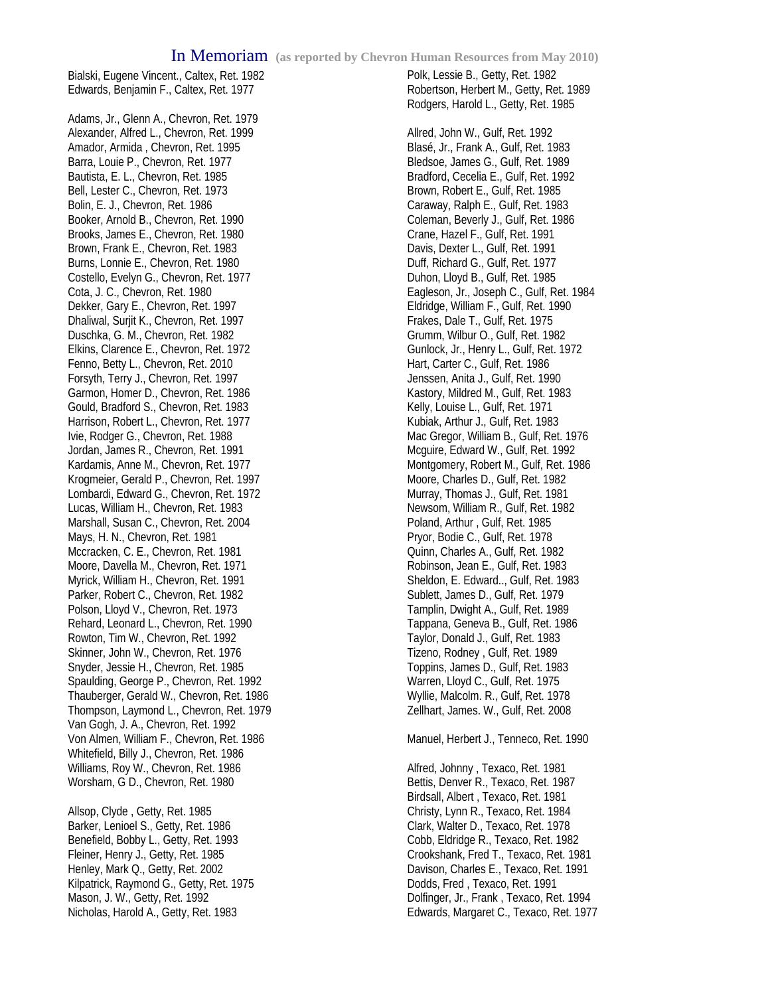Bialski, Eugene Vincent., Caltex, Ret. 1982 Edwards, Benjamin F., Caltex, Ret. 1977

Adams, Jr., Glenn A., Chevron, Ret. 1979 Alexander, Alfred L., Chevron, Ret. 1999 Amador, Armida , Chevron, Ret. 1995 Barra, Louie P., Chevron, Ret. 1977 Bautista, E. L., Chevron, Ret. 1985 Bell, Lester C., Chevron, Ret. 1973 Bolin, E. J., Chevron, Ret. 1986 Booker, Arnold B., Chevron, Ret. 1990 Brooks, James E., Chevron, Ret. 1980 Brown, Frank E., Chevron, Ret. 1983 Burns, Lonnie E., Chevron, Ret. 1980 Costello, Evelyn G., Chevron, Ret. 1977 Cota, J. C., Chevron, Ret. 1980 Dekker, Gary E., Chevron, Ret. 1997 Dhaliwal, Surjit K., Chevron, Ret. 1997 Duschka, G. M., Chevron, Ret. 1982 Elkins, Clarence E., Chevron, Ret. 1972 Fenno, Betty L., Chevron, Ret. 2010 Forsyth, Terry J., Chevron, Ret. 1997 Garmon, Homer D., Chevron, Ret. 1986 Gould, Bradford S., Chevron, Ret. 1983 Harrison, Robert L., Chevron, Ret. 1977 Ivie, Rodger G., Chevron, Ret. 1988 Jordan, James R., Chevron, Ret. 1991 Kardamis, Anne M., Chevron, Ret. 1977 Krogmeier, Gerald P., Chevron, Ret. 1997 Lombardi, Edward G., Chevron, Ret. 1972 Lucas, William H., Chevron, Ret. 1983 Marshall, Susan C., Chevron, Ret. 2004 Mays, H. N., Chevron, Ret. 1981 Mccracken, C. E., Chevron, Ret. 1981 Moore, Davella M., Chevron, Ret. 1971 Myrick, William H., Chevron, Ret. 1991 Parker, Robert C., Chevron, Ret. 1982 Polson, Lloyd V., Chevron, Ret. 1973 Rehard, Leonard L., Chevron, Ret. 1990 Rowton, Tim W., Chevron, Ret. 1992 Skinner, John W., Chevron, Ret. 1976 Snyder, Jessie H., Chevron, Ret. 1985 Spaulding, George P., Chevron, Ret. 1992 Thauberger, Gerald W., Chevron, Ret. 1986 Thompson, Laymond L., Chevron, Ret. 1979 Van Gogh, J. A., Chevron, Ret. 1992 Von Almen, William F., Chevron, Ret. 1986 Whitefield, Billy J., Chevron, Ret. 1986 Williams, Roy W., Chevron, Ret. 1986 Worsham, G D., Chevron, Ret. 1980

Allsop, Clyde , Getty, Ret. 1985 Barker, Lenioel S., Getty, Ret. 1986 Benefield, Bobby L., Getty, Ret. 1993 Fleiner, Henry J., Getty, Ret. 1985 Henley, Mark Q., Getty, Ret. 2002 Kilpatrick, Raymond G., Getty, Ret. 1975 Mason, J. W., Getty, Ret. 1992 Nicholas, Harold A., Getty, Ret. 1983

Polk, Lessie B., Getty, Ret. 1982 Robertson, Herbert M., Getty, Ret. 1989 Rodgers, Harold L., Getty, Ret. 1985

Allred, John W., Gulf, Ret. 1992 Blasé, Jr., Frank A., Gulf, Ret. 1983 Bledsoe, James G., Gulf, Ret. 1989 Bradford, Cecelia E., Gulf, Ret. 1992 Brown, Robert E., Gulf, Ret. 1985 Caraway, Ralph E., Gulf, Ret. 1983 Coleman, Beverly J., Gulf, Ret. 1986 Crane, Hazel F., Gulf, Ret. 1991 Davis, Dexter L., Gulf, Ret. 1991 Duff, Richard G., Gulf, Ret. 1977 Duhon, Lloyd B., Gulf, Ret. 1985 Eagleson, Jr., Joseph C., Gulf, Ret. 1984 Eldridge, William F., Gulf, Ret. 1990 Frakes, Dale T., Gulf, Ret. 1975 Grumm, Wilbur O., Gulf, Ret. 1982 Gunlock, Jr., Henry L., Gulf, Ret. 1972 Hart, Carter C., Gulf, Ret. 1986 Jenssen, Anita J., Gulf, Ret. 1990 Kastory, Mildred M., Gulf, Ret. 1983 Kelly, Louise L., Gulf, Ret. 1971 Kubiak, Arthur J., Gulf, Ret. 1983 Mac Gregor, William B., Gulf, Ret. 1976 Mcguire, Edward W., Gulf, Ret. 1992 Montgomery, Robert M., Gulf, Ret. 1986 Moore, Charles D., Gulf, Ret. 1982 Murray, Thomas J., Gulf, Ret. 1981 Newsom, William R., Gulf, Ret. 1982 Poland, Arthur , Gulf, Ret. 1985 Pryor, Bodie C., Gulf, Ret. 1978 Quinn, Charles A., Gulf, Ret. 1982 Robinson, Jean E., Gulf, Ret. 1983 Sheldon, E. Edward.., Gulf, Ret. 1983 Sublett, James D., Gulf, Ret. 1979 Tamplin, Dwight A., Gulf, Ret. 1989 Tappana, Geneva B., Gulf, Ret. 1986 Taylor, Donald J., Gulf, Ret. 1983 Tizeno, Rodney , Gulf, Ret. 1989 Toppins, James D., Gulf, Ret. 1983 Warren, Lloyd C., Gulf, Ret. 1975 Wyllie, Malcolm. R., Gulf, Ret. 1978 Zellhart, James. W., Gulf, Ret. 2008

Manuel, Herbert J., Tenneco, Ret. 1990

Alfred, Johnny , Texaco, Ret. 1981 Bettis, Denver R., Texaco, Ret. 1987 Birdsall, Albert , Texaco, Ret. 1981 Christy, Lynn R., Texaco, Ret. 1984 Clark, Walter D., Texaco, Ret. 1978 Cobb, Eldridge R., Texaco, Ret. 1982 Crookshank, Fred T., Texaco, Ret. 1981 Davison, Charles E., Texaco, Ret. 1991 Dodds, Fred , Texaco, Ret. 1991 Dolfinger, Jr., Frank , Texaco, Ret. 1994 Edwards, Margaret C., Texaco, Ret. 1977